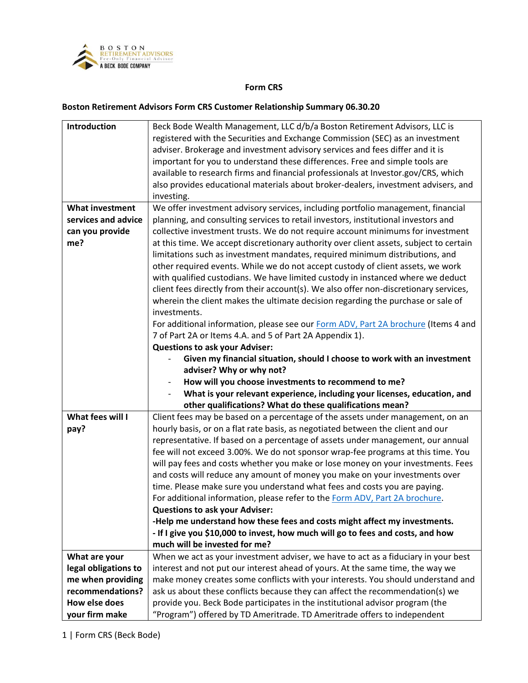

## **Form CRS**

## **Boston Retirement Advisors Form CRS Customer Relationship Summary 06.30.20**

| Introduction           | Beck Bode Wealth Management, LLC d/b/a Boston Retirement Advisors, LLC is              |
|------------------------|----------------------------------------------------------------------------------------|
|                        | registered with the Securities and Exchange Commission (SEC) as an investment          |
|                        | adviser. Brokerage and investment advisory services and fees differ and it is          |
|                        | important for you to understand these differences. Free and simple tools are           |
|                        | available to research firms and financial professionals at Investor.gov/CRS, which     |
|                        | also provides educational materials about broker-dealers, investment advisers, and     |
|                        | investing.                                                                             |
| <b>What investment</b> | We offer investment advisory services, including portfolio management, financial       |
| services and advice    | planning, and consulting services to retail investors, institutional investors and     |
| can you provide        | collective investment trusts. We do not require account minimums for investment        |
| me?                    | at this time. We accept discretionary authority over client assets, subject to certain |
|                        | limitations such as investment mandates, required minimum distributions, and           |
|                        | other required events. While we do not accept custody of client assets, we work        |
|                        | with qualified custodians. We have limited custody in instanced where we deduct        |
|                        | client fees directly from their account(s). We also offer non-discretionary services,  |
|                        | wherein the client makes the ultimate decision regarding the purchase or sale of       |
|                        | investments.                                                                           |
|                        | For additional information, please see our Form ADV, Part 2A brochure (Items 4 and     |
|                        | 7 of Part 2A or Items 4.A. and 5 of Part 2A Appendix 1).                               |
|                        | <b>Questions to ask your Adviser:</b>                                                  |
|                        | Given my financial situation, should I choose to work with an investment               |
|                        | adviser? Why or why not?                                                               |
|                        | How will you choose investments to recommend to me?                                    |
|                        | What is your relevant experience, including your licenses, education, and              |
|                        | other qualifications? What do these qualifications mean?                               |
| What fees will I       | Client fees may be based on a percentage of the assets under management, on an         |
| pay?                   | hourly basis, or on a flat rate basis, as negotiated between the client and our        |
|                        | representative. If based on a percentage of assets under management, our annual        |
|                        | fee will not exceed 3.00%. We do not sponsor wrap-fee programs at this time. You       |
|                        | will pay fees and costs whether you make or lose money on your investments. Fees       |
|                        | and costs will reduce any amount of money you make on your investments over            |
|                        | time. Please make sure you understand what fees and costs you are paying.              |
|                        | For additional information, please refer to the Form ADV, Part 2A brochure.            |
|                        | <b>Questions to ask your Adviser:</b>                                                  |
|                        | -Help me understand how these fees and costs might affect my investments.              |
|                        | - If I give you \$10,000 to invest, how much will go to fees and costs, and how        |
|                        | much will be invested for me?                                                          |
| What are your          | When we act as your investment adviser, we have to act as a fiduciary in your best     |
| legal obligations to   | interest and not put our interest ahead of yours. At the same time, the way we         |
| me when providing      | make money creates some conflicts with your interests. You should understand and       |
| recommendations?       | ask us about these conflicts because they can affect the recommendation(s) we          |
| How else does          | provide you. Beck Bode participates in the institutional advisor program (the          |
| your firm make         | "Program") offered by TD Ameritrade. TD Ameritrade offers to independent               |